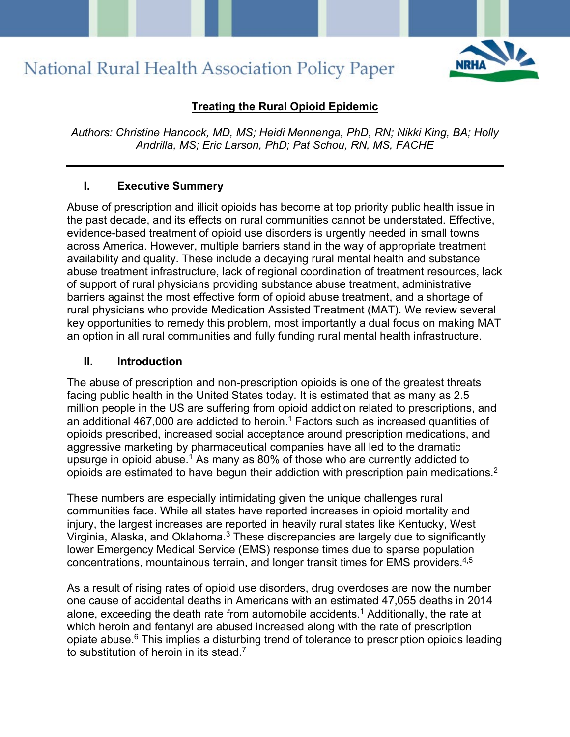

#### **Treating the Rural Opioid Epidemic**

*Authors: Christine Hancock, MD, MS; Heidi Mennenga, PhD, RN; Nikki King, BA; Holly Andrilla, MS; Eric Larson, PhD; Pat Schou, RN, MS, FACHE*

#### **I. Executive Summery**

Abuse of prescription and illicit opioids has become at top priority public health issue in the past decade, and its effects on rural communities cannot be understated. Effective, evidence-based treatment of opioid use disorders is urgently needed in small towns across America. However, multiple barriers stand in the way of appropriate treatment availability and quality. These include a decaying rural mental health and substance abuse treatment infrastructure, lack of regional coordination of treatment resources, lack of support of rural physicians providing substance abuse treatment, administrative barriers against the most effective form of opioid abuse treatment, and a shortage of rural physicians who provide Medication Assisted Treatment (MAT). We review several key opportunities to remedy this problem, most importantly a dual focus on making MAT an option in all rural communities and fully funding rural mental health infrastructure.

#### **II. Introduction**

The abuse of prescription and non-prescription opioids is one of the greatest threats facing public health in the United States today. It is estimated that as many as 2.5 million people in the US are suffering from opioid addiction related to prescriptions, and an additional 467,000 are addicted to heroin.<sup>1</sup> Factors such as increased quantities of opioids prescribed, increased social acceptance around prescription medications, and aggressive marketing by pharmaceutical companies have all led to the dramatic upsurge in opioid abuse.<sup>1</sup> As many as 80% of those who are currently addicted to opioids are estimated to have begun their addiction with prescription pain medications.2

These numbers are especially intimidating given the unique challenges rural communities face. While all states have reported increases in opioid mortality and injury, the largest increases are reported in heavily rural states like Kentucky, West Virginia, Alaska, and Oklahoma.3 These discrepancies are largely due to significantly lower Emergency Medical Service (EMS) response times due to sparse population concentrations, mountainous terrain, and longer transit times for EMS providers.<sup>4,5</sup>

As a result of rising rates of opioid use disorders, drug overdoses are now the number one cause of accidental deaths in Americans with an estimated 47,055 deaths in 2014 alone, exceeding the death rate from automobile accidents.1 Additionally, the rate at which heroin and fentanyl are abused increased along with the rate of prescription opiate abuse. <sup>6</sup> This implies a disturbing trend of tolerance to prescription opioids leading to substitution of heroin in its stead.7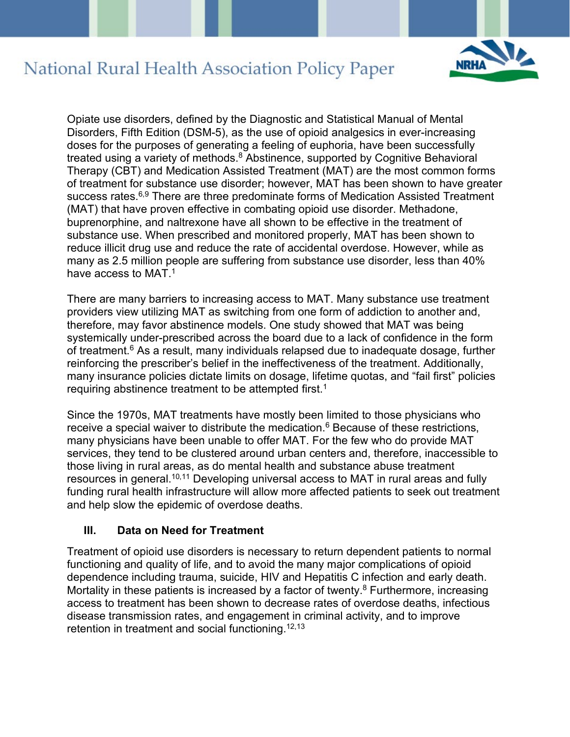

Opiate use disorders, defined by the Diagnostic and Statistical Manual of Mental Disorders, Fifth Edition (DSM-5), as the use of opioid analgesics in ever-increasing doses for the purposes of generating a feeling of euphoria, have been successfully treated using a variety of methods.<sup>8</sup> Abstinence, supported by Cognitive Behavioral Therapy (CBT) and Medication Assisted Treatment (MAT) are the most common forms of treatment for substance use disorder; however, MAT has been shown to have greater success rates.<sup>6,9</sup> There are three predominate forms of Medication Assisted Treatment (MAT) that have proven effective in combating opioid use disorder. Methadone, buprenorphine, and naltrexone have all shown to be effective in the treatment of substance use. When prescribed and monitored properly, MAT has been shown to reduce illicit drug use and reduce the rate of accidental overdose. However, while as many as 2.5 million people are suffering from substance use disorder, less than 40% have access to MAT  $<sup>1</sup>$ </sup>

There are many barriers to increasing access to MAT. Many substance use treatment providers view utilizing MAT as switching from one form of addiction to another and, therefore, may favor abstinence models. One study showed that MAT was being systemically under-prescribed across the board due to a lack of confidence in the form of treatment. <sup>6</sup> As a result, many individuals relapsed due to inadequate dosage, further reinforcing the prescriber's belief in the ineffectiveness of the treatment. Additionally, many insurance policies dictate limits on dosage, lifetime quotas, and "fail first" policies requiring abstinence treatment to be attempted first.<sup>1</sup>

Since the 1970s, MAT treatments have mostly been limited to those physicians who receive a special waiver to distribute the medication. <sup>6</sup> Because of these restrictions, many physicians have been unable to offer MAT. For the few who do provide MAT services, they tend to be clustered around urban centers and, therefore, inaccessible to those living in rural areas, as do mental health and substance abuse treatment resources in general.<sup>10,11</sup> Developing universal access to MAT in rural areas and fully funding rural health infrastructure will allow more affected patients to seek out treatment and help slow the epidemic of overdose deaths.

#### **III. Data on Need for Treatment**

Treatment of opioid use disorders is necessary to return dependent patients to normal functioning and quality of life, and to avoid the many major complications of opioid dependence including trauma, suicide, HIV and Hepatitis C infection and early death. Mortality in these patients is increased by a factor of twenty.<sup>8</sup> Furthermore, increasing access to treatment has been shown to decrease rates of overdose deaths, infectious disease transmission rates, and engagement in criminal activity, and to improve retention in treatment and social functioning.<sup>12,13</sup>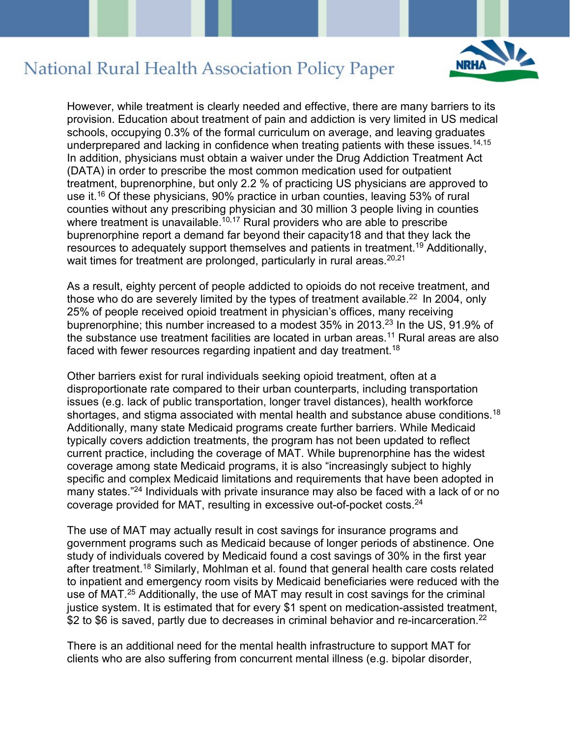

However, while treatment is clearly needed and effective, there are many barriers to its provision. Education about treatment of pain and addiction is very limited in US medical schools, occupying 0.3% of the formal curriculum on average, and leaving graduates underprepared and lacking in confidence when treating patients with these issues.<sup>14,15</sup> In addition, physicians must obtain a waiver under the Drug Addiction Treatment Act (DATA) in order to prescribe the most common medication used for outpatient treatment, buprenorphine, but only 2.2 % of practicing US physicians are approved to use it.16 Of these physicians, 90% practice in urban counties, leaving 53% of rural counties without any prescribing physician and 30 million 3 people living in counties where treatment is unavailable.<sup>10,17</sup> Rural providers who are able to prescribe buprenorphine report a demand far beyond their capacity18 and that they lack the resources to adequately support themselves and patients in treatment.19 Additionally, wait times for treatment are prolonged, particularly in rural areas.<sup>20,21</sup>

As a result, eighty percent of people addicted to opioids do not receive treatment, and those who do are severely limited by the types of treatment available.<sup>22</sup> In 2004, only 25% of people received opioid treatment in physician's offices, many receiving buprenorphine; this number increased to a modest 35% in 2013.23 In the US, 91.9% of the substance use treatment facilities are located in urban areas.<sup>11</sup> Rural areas are also faced with fewer resources regarding inpatient and day treatment.<sup>18</sup>

Other barriers exist for rural individuals seeking opioid treatment, often at a disproportionate rate compared to their urban counterparts, including transportation issues (e.g. lack of public transportation, longer travel distances), health workforce shortages, and stigma associated with mental health and substance abuse conditions.<sup>18</sup> Additionally, many state Medicaid programs create further barriers. While Medicaid typically covers addiction treatments, the program has not been updated to reflect current practice, including the coverage of MAT. While buprenorphine has the widest coverage among state Medicaid programs, it is also "increasingly subject to highly specific and complex Medicaid limitations and requirements that have been adopted in many states."24 Individuals with private insurance may also be faced with a lack of or no coverage provided for MAT, resulting in excessive out-of-pocket costs.24

The use of MAT may actually result in cost savings for insurance programs and government programs such as Medicaid because of longer periods of abstinence. One study of individuals covered by Medicaid found a cost savings of 30% in the first year after treatment.18 Similarly, Mohlman et al. found that general health care costs related to inpatient and emergency room visits by Medicaid beneficiaries were reduced with the use of MAT.25 Additionally, the use of MAT may result in cost savings for the criminal justice system. It is estimated that for every \$1 spent on medication-assisted treatment, \$2 to \$6 is saved, partly due to decreases in criminal behavior and re-incarceration.<sup>22</sup>

There is an additional need for the mental health infrastructure to support MAT for clients who are also suffering from concurrent mental illness (e.g. bipolar disorder,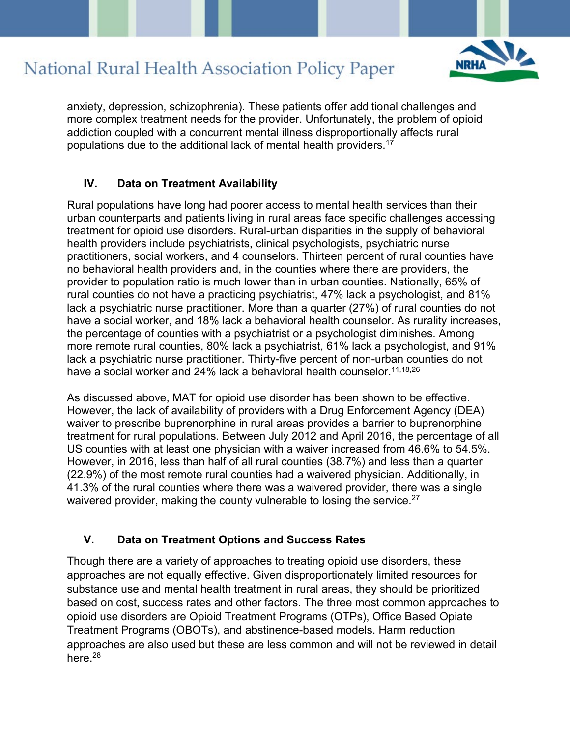

anxiety, depression, schizophrenia). These patients offer additional challenges and more complex treatment needs for the provider. Unfortunately, the problem of opioid addiction coupled with a concurrent mental illness disproportionally affects rural populations due to the additional lack of mental health providers.<sup>17</sup>

#### **IV. Data on Treatment Availability**

Rural populations have long had poorer access to mental health services than their urban counterparts and patients living in rural areas face specific challenges accessing treatment for opioid use disorders. Rural-urban disparities in the supply of behavioral health providers include psychiatrists, clinical psychologists, psychiatric nurse practitioners, social workers, and 4 counselors. Thirteen percent of rural counties have no behavioral health providers and, in the counties where there are providers, the provider to population ratio is much lower than in urban counties. Nationally, 65% of rural counties do not have a practicing psychiatrist, 47% lack a psychologist, and 81% lack a psychiatric nurse practitioner. More than a quarter (27%) of rural counties do not have a social worker, and 18% lack a behavioral health counselor. As rurality increases, the percentage of counties with a psychiatrist or a psychologist diminishes. Among more remote rural counties, 80% lack a psychiatrist, 61% lack a psychologist, and 91% lack a psychiatric nurse practitioner. Thirty-five percent of non-urban counties do not have a social worker and 24% lack a behavioral health counselor.<sup>11,18,26</sup>

As discussed above, MAT for opioid use disorder has been shown to be effective. However, the lack of availability of providers with a Drug Enforcement Agency (DEA) waiver to prescribe buprenorphine in rural areas provides a barrier to buprenorphine treatment for rural populations. Between July 2012 and April 2016, the percentage of all US counties with at least one physician with a waiver increased from 46.6% to 54.5%. However, in 2016, less than half of all rural counties (38.7%) and less than a quarter (22.9%) of the most remote rural counties had a waivered physician. Additionally, in 41.3% of the rural counties where there was a waivered provider, there was a single waivered provider, making the county vulnerable to losing the service.<sup>27</sup>

#### **V. Data on Treatment Options and Success Rates**

Though there are a variety of approaches to treating opioid use disorders, these approaches are not equally effective. Given disproportionately limited resources for substance use and mental health treatment in rural areas, they should be prioritized based on cost, success rates and other factors. The three most common approaches to opioid use disorders are Opioid Treatment Programs (OTPs), Office Based Opiate Treatment Programs (OBOTs), and abstinence-based models. Harm reduction approaches are also used but these are less common and will not be reviewed in detail here.<sup>28</sup>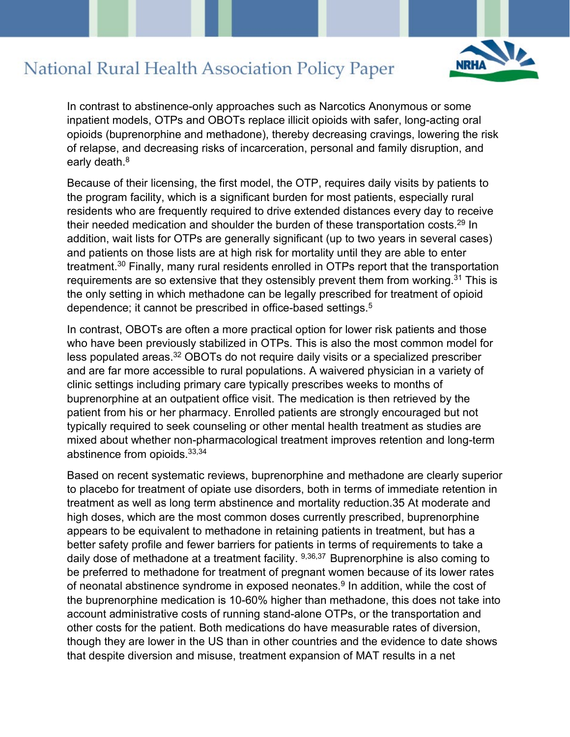

In contrast to abstinence-only approaches such as Narcotics Anonymous or some inpatient models, OTPs and OBOTs replace illicit opioids with safer, long-acting oral opioids (buprenorphine and methadone), thereby decreasing cravings, lowering the risk of relapse, and decreasing risks of incarceration, personal and family disruption, and early death.<sup>8</sup>

Because of their licensing, the first model, the OTP, requires daily visits by patients to the program facility, which is a significant burden for most patients, especially rural residents who are frequently required to drive extended distances every day to receive their needed medication and shoulder the burden of these transportation costs.<sup>29</sup> In addition, wait lists for OTPs are generally significant (up to two years in several cases) and patients on those lists are at high risk for mortality until they are able to enter treatment.30 Finally, many rural residents enrolled in OTPs report that the transportation requirements are so extensive that they ostensibly prevent them from working.<sup>31</sup> This is the only setting in which methadone can be legally prescribed for treatment of opioid dependence; it cannot be prescribed in office-based settings.<sup>5</sup>

In contrast, OBOTs are often a more practical option for lower risk patients and those who have been previously stabilized in OTPs. This is also the most common model for less populated areas.32 OBOTs do not require daily visits or a specialized prescriber and are far more accessible to rural populations. A waivered physician in a variety of clinic settings including primary care typically prescribes weeks to months of buprenorphine at an outpatient office visit. The medication is then retrieved by the patient from his or her pharmacy. Enrolled patients are strongly encouraged but not typically required to seek counseling or other mental health treatment as studies are mixed about whether non-pharmacological treatment improves retention and long-term abstinence from opioids.33,34

Based on recent systematic reviews, buprenorphine and methadone are clearly superior to placebo for treatment of opiate use disorders, both in terms of immediate retention in treatment as well as long term abstinence and mortality reduction.35 At moderate and high doses, which are the most common doses currently prescribed, buprenorphine appears to be equivalent to methadone in retaining patients in treatment, but has a better safety profile and fewer barriers for patients in terms of requirements to take a daily dose of methadone at a treatment facility. 9,36,37 Buprenorphine is also coming to be preferred to methadone for treatment of pregnant women because of its lower rates of neonatal abstinence syndrome in exposed neonates.<sup>9</sup> In addition, while the cost of the buprenorphine medication is 10-60% higher than methadone, this does not take into account administrative costs of running stand-alone OTPs, or the transportation and other costs for the patient. Both medications do have measurable rates of diversion, though they are lower in the US than in other countries and the evidence to date shows that despite diversion and misuse, treatment expansion of MAT results in a net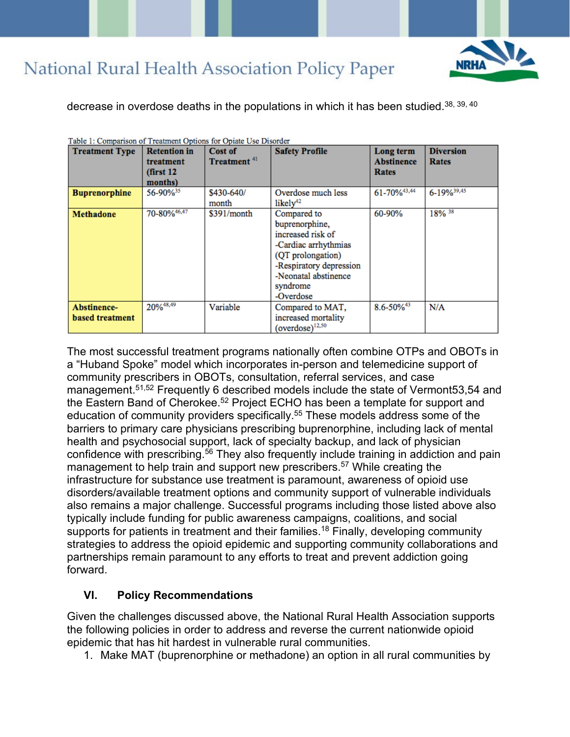

decrease in overdose deaths in the populations in which it has been studied.38, 39, 40

| acie il companioni or freamment opitom for opiate coe bilos<br><b>Treatment Type</b> | <b>Retention in</b><br>treatment<br>(first 12)<br>months) | Cost of<br>Treatment <sup>41</sup> | <b>Safety Profile</b>                                                                                                                                                       | Long term<br><b>Abstinence</b><br>Rates | <b>Diversion</b><br>Rates |
|--------------------------------------------------------------------------------------|-----------------------------------------------------------|------------------------------------|-----------------------------------------------------------------------------------------------------------------------------------------------------------------------------|-----------------------------------------|---------------------------|
| <b>Buprenorphine</b>                                                                 | 56-90% <sup>35</sup>                                      | \$430-640/<br>month                | Overdose much less<br>likelv <sup>42</sup>                                                                                                                                  | 61-70%43,44                             | 6-19% 39,45               |
| <b>Methadone</b>                                                                     | 70-80% 46,47                                              | \$391/month                        | Compared to<br>buprenorphine,<br>increased risk of<br>-Cardiac arrhythmias<br>(QT prolongation)<br>-Respiratory depression<br>-Neonatal abstinence<br>syndrome<br>-Overdose | 60-90%                                  | 18% 38                    |
| Abstinence-<br>based treatment                                                       | 20%48,49                                                  | Variable                           | Compared to MAT,<br>increased mortality<br>$(overdose)^{12,50}$                                                                                                             | $8.6 - 50\%^{43}$                       | N/A                       |

Table 1: Comparison of Treatment Options for Opiate Use Disorder

The most successful treatment programs nationally often combine OTPs and OBOTs in a "Huband Spoke" model which incorporates in-person and telemedicine support of community prescribers in OBOTs, consultation, referral services, and case management.<sup>51,52</sup> Frequently 6 described models include the state of Vermont 53,54 and the Eastern Band of Cherokee.<sup>52</sup> Project ECHO has been a template for support and education of community providers specifically. <sup>55</sup> These models address some of the barriers to primary care physicians prescribing buprenorphine, including lack of mental health and psychosocial support, lack of specialty backup, and lack of physician confidence with prescribing.<sup>56</sup> They also frequently include training in addiction and pain management to help train and support new prescribers.<sup>57</sup> While creating the infrastructure for substance use treatment is paramount, awareness of opioid use disorders/available treatment options and community support of vulnerable individuals also remains a major challenge. Successful programs including those listed above also typically include funding for public awareness campaigns, coalitions, and social supports for patients in treatment and their families.<sup>18</sup> Finally, developing community strategies to address the opioid epidemic and supporting community collaborations and partnerships remain paramount to any efforts to treat and prevent addiction going forward.

#### **VI. Policy Recommendations**

Given the challenges discussed above, the National Rural Health Association supports the following policies in order to address and reverse the current nationwide opioid epidemic that has hit hardest in vulnerable rural communities.

1. Make MAT (buprenorphine or methadone) an option in all rural communities by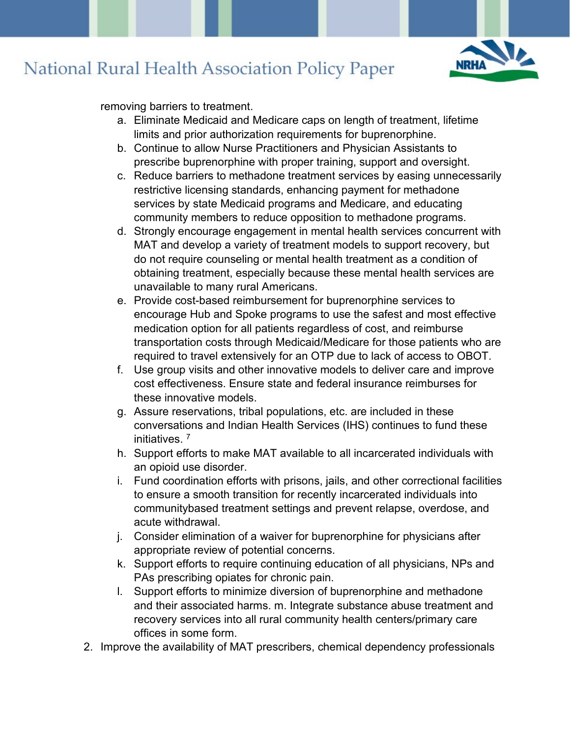

removing barriers to treatment.

- a. Eliminate Medicaid and Medicare caps on length of treatment, lifetime limits and prior authorization requirements for buprenorphine.
- b. Continue to allow Nurse Practitioners and Physician Assistants to prescribe buprenorphine with proper training, support and oversight.
- c. Reduce barriers to methadone treatment services by easing unnecessarily restrictive licensing standards, enhancing payment for methadone services by state Medicaid programs and Medicare, and educating community members to reduce opposition to methadone programs.
- d. Strongly encourage engagement in mental health services concurrent with MAT and develop a variety of treatment models to support recovery, but do not require counseling or mental health treatment as a condition of obtaining treatment, especially because these mental health services are unavailable to many rural Americans.
- e. Provide cost-based reimbursement for buprenorphine services to encourage Hub and Spoke programs to use the safest and most effective medication option for all patients regardless of cost, and reimburse transportation costs through Medicaid/Medicare for those patients who are required to travel extensively for an OTP due to lack of access to OBOT.
- f. Use group visits and other innovative models to deliver care and improve cost effectiveness. Ensure state and federal insurance reimburses for these innovative models.
- g. Assure reservations, tribal populations, etc. are included in these conversations and Indian Health Services (IHS) continues to fund these initiatives. 7
- h. Support efforts to make MAT available to all incarcerated individuals with an opioid use disorder.
- i. Fund coordination efforts with prisons, jails, and other correctional facilities to ensure a smooth transition for recently incarcerated individuals into communitybased treatment settings and prevent relapse, overdose, and acute withdrawal.
- j. Consider elimination of a waiver for buprenorphine for physicians after appropriate review of potential concerns.
- k. Support efforts to require continuing education of all physicians, NPs and PAs prescribing opiates for chronic pain.
- l. Support efforts to minimize diversion of buprenorphine and methadone and their associated harms. m. Integrate substance abuse treatment and recovery services into all rural community health centers/primary care offices in some form.
- 2. Improve the availability of MAT prescribers, chemical dependency professionals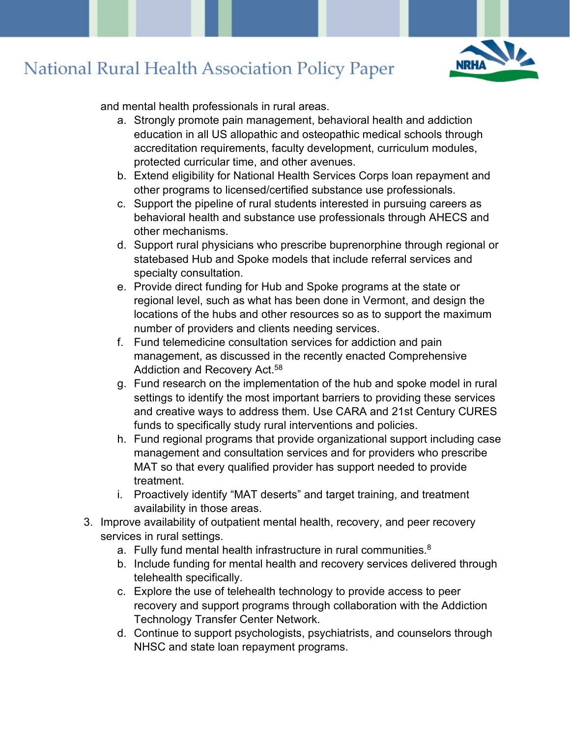

and mental health professionals in rural areas.

- a. Strongly promote pain management, behavioral health and addiction education in all US allopathic and osteopathic medical schools through accreditation requirements, faculty development, curriculum modules, protected curricular time, and other avenues.
- b. Extend eligibility for National Health Services Corps loan repayment and other programs to licensed/certified substance use professionals.
- c. Support the pipeline of rural students interested in pursuing careers as behavioral health and substance use professionals through AHECS and other mechanisms.
- d. Support rural physicians who prescribe buprenorphine through regional or statebased Hub and Spoke models that include referral services and specialty consultation.
- e. Provide direct funding for Hub and Spoke programs at the state or regional level, such as what has been done in Vermont, and design the locations of the hubs and other resources so as to support the maximum number of providers and clients needing services.
- f. Fund telemedicine consultation services for addiction and pain management, as discussed in the recently enacted Comprehensive Addiction and Recovery Act.<sup>58</sup>
- g. Fund research on the implementation of the hub and spoke model in rural settings to identify the most important barriers to providing these services and creative ways to address them. Use CARA and 21st Century CURES funds to specifically study rural interventions and policies.
- h. Fund regional programs that provide organizational support including case management and consultation services and for providers who prescribe MAT so that every qualified provider has support needed to provide treatment.
- i. Proactively identify "MAT deserts" and target training, and treatment availability in those areas.
- 3. Improve availability of outpatient mental health, recovery, and peer recovery services in rural settings.
	- a. Fully fund mental health infrastructure in rural communities.<sup>8</sup>
	- b. Include funding for mental health and recovery services delivered through telehealth specifically.
	- c. Explore the use of telehealth technology to provide access to peer recovery and support programs through collaboration with the Addiction Technology Transfer Center Network.
	- d. Continue to support psychologists, psychiatrists, and counselors through NHSC and state loan repayment programs.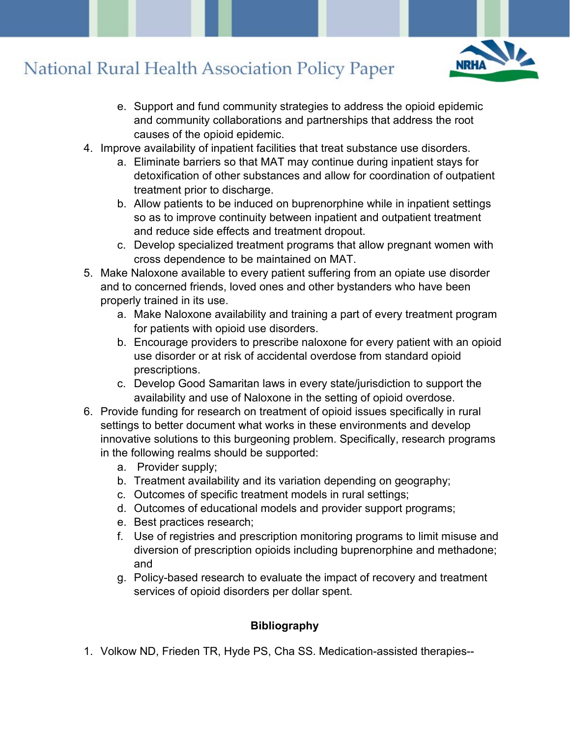

- e. Support and fund community strategies to address the opioid epidemic and community collaborations and partnerships that address the root causes of the opioid epidemic.
- 4. Improve availability of inpatient facilities that treat substance use disorders.
	- a. Eliminate barriers so that MAT may continue during inpatient stays for detoxification of other substances and allow for coordination of outpatient treatment prior to discharge.
	- b. Allow patients to be induced on buprenorphine while in inpatient settings so as to improve continuity between inpatient and outpatient treatment and reduce side effects and treatment dropout.
	- c. Develop specialized treatment programs that allow pregnant women with cross dependence to be maintained on MAT.
- 5. Make Naloxone available to every patient suffering from an opiate use disorder and to concerned friends, loved ones and other bystanders who have been properly trained in its use.
	- a. Make Naloxone availability and training a part of every treatment program for patients with opioid use disorders.
	- b. Encourage providers to prescribe naloxone for every patient with an opioid use disorder or at risk of accidental overdose from standard opioid prescriptions.
	- c. Develop Good Samaritan laws in every state/jurisdiction to support the availability and use of Naloxone in the setting of opioid overdose.
- 6. Provide funding for research on treatment of opioid issues specifically in rural settings to better document what works in these environments and develop innovative solutions to this burgeoning problem. Specifically, research programs in the following realms should be supported:
	- a. Provider supply;
	- b. Treatment availability and its variation depending on geography;
	- c. Outcomes of specific treatment models in rural settings;
	- d. Outcomes of educational models and provider support programs;
	- e. Best practices research;
	- f. Use of registries and prescription monitoring programs to limit misuse and diversion of prescription opioids including buprenorphine and methadone; and
	- g. Policy-based research to evaluate the impact of recovery and treatment services of opioid disorders per dollar spent.

#### **Bibliography**

1. Volkow ND, Frieden TR, Hyde PS, Cha SS. Medication-assisted therapies--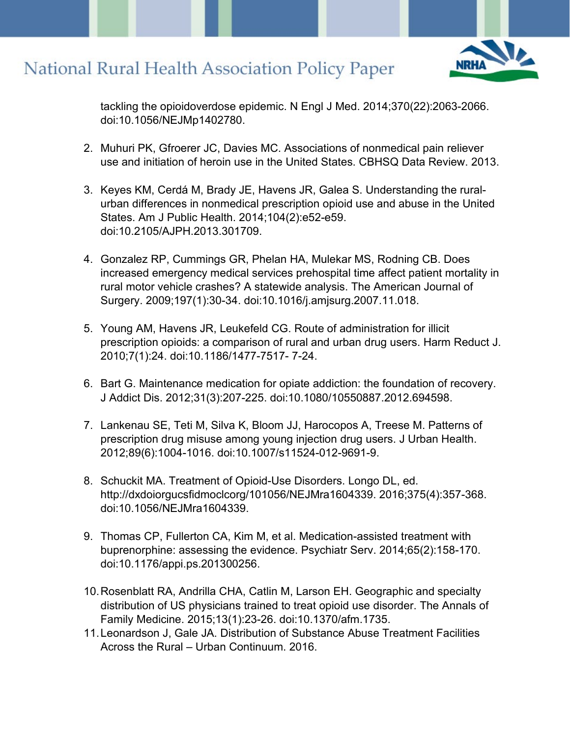

tackling the opioidoverdose epidemic. N Engl J Med. 2014;370(22):2063-2066. doi:10.1056/NEJMp1402780.

- 2. Muhuri PK, Gfroerer JC, Davies MC. Associations of nonmedical pain reliever use and initiation of heroin use in the United States. CBHSQ Data Review. 2013.
- 3. Keyes KM, Cerdá M, Brady JE, Havens JR, Galea S. Understanding the ruralurban differences in nonmedical prescription opioid use and abuse in the United States. Am J Public Health. 2014;104(2):e52-e59. doi:10.2105/AJPH.2013.301709.
- 4. Gonzalez RP, Cummings GR, Phelan HA, Mulekar MS, Rodning CB. Does increased emergency medical services prehospital time affect patient mortality in rural motor vehicle crashes? A statewide analysis. The American Journal of Surgery. 2009;197(1):30-34. doi:10.1016/j.amjsurg.2007.11.018.
- 5. Young AM, Havens JR, Leukefeld CG. Route of administration for illicit prescription opioids: a comparison of rural and urban drug users. Harm Reduct J. 2010;7(1):24. doi:10.1186/1477-7517- 7-24.
- 6. Bart G. Maintenance medication for opiate addiction: the foundation of recovery. J Addict Dis. 2012;31(3):207-225. doi:10.1080/10550887.2012.694598.
- 7. Lankenau SE, Teti M, Silva K, Bloom JJ, Harocopos A, Treese M. Patterns of prescription drug misuse among young injection drug users. J Urban Health. 2012;89(6):1004-1016. doi:10.1007/s11524-012-9691-9.
- 8. Schuckit MA. Treatment of Opioid-Use Disorders. Longo DL, ed. http://dxdoiorgucsfidmoclcorg/101056/NEJMra1604339. 2016;375(4):357-368. doi:10.1056/NEJMra1604339.
- 9. Thomas CP, Fullerton CA, Kim M, et al. Medication-assisted treatment with buprenorphine: assessing the evidence. Psychiatr Serv. 2014;65(2):158-170. doi:10.1176/appi.ps.201300256.
- 10.Rosenblatt RA, Andrilla CHA, Catlin M, Larson EH. Geographic and specialty distribution of US physicians trained to treat opioid use disorder. The Annals of Family Medicine. 2015;13(1):23-26. doi:10.1370/afm.1735.
- 11.Leonardson J, Gale JA. Distribution of Substance Abuse Treatment Facilities Across the Rural – Urban Continuum. 2016.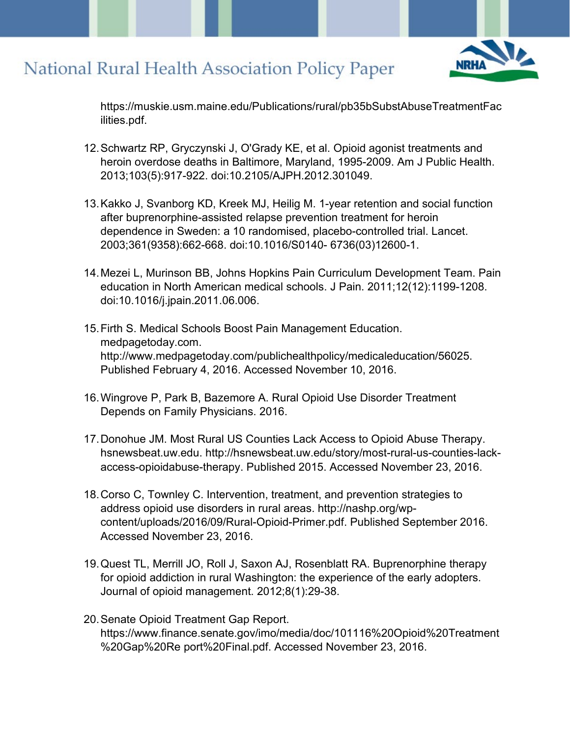

https://muskie.usm.maine.edu/Publications/rural/pb35bSubstAbuseTreatmentFac ilities.pdf.

- 12.Schwartz RP, Gryczynski J, O'Grady KE, et al. Opioid agonist treatments and heroin overdose deaths in Baltimore, Maryland, 1995-2009. Am J Public Health. 2013;103(5):917-922. doi:10.2105/AJPH.2012.301049.
- 13.Kakko J, Svanborg KD, Kreek MJ, Heilig M. 1-year retention and social function after buprenorphine-assisted relapse prevention treatment for heroin dependence in Sweden: a 10 randomised, placebo-controlled trial. Lancet. 2003;361(9358):662-668. doi:10.1016/S0140- 6736(03)12600-1.
- 14.Mezei L, Murinson BB, Johns Hopkins Pain Curriculum Development Team. Pain education in North American medical schools. J Pain. 2011;12(12):1199-1208. doi:10.1016/j.jpain.2011.06.006.
- 15.Firth S. Medical Schools Boost Pain Management Education. medpagetoday.com. http://www.medpagetoday.com/publichealthpolicy/medicaleducation/56025. Published February 4, 2016. Accessed November 10, 2016.
- 16.Wingrove P, Park B, Bazemore A. Rural Opioid Use Disorder Treatment Depends on Family Physicians. 2016.
- 17.Donohue JM. Most Rural US Counties Lack Access to Opioid Abuse Therapy. hsnewsbeat.uw.edu. http://hsnewsbeat.uw.edu/story/most-rural-us-counties-lackaccess-opioidabuse-therapy. Published 2015. Accessed November 23, 2016.
- 18.Corso C, Townley C. Intervention, treatment, and prevention strategies to address opioid use disorders in rural areas. http://nashp.org/wpcontent/uploads/2016/09/Rural-Opioid-Primer.pdf. Published September 2016. Accessed November 23, 2016.
- 19.Quest TL, Merrill JO, Roll J, Saxon AJ, Rosenblatt RA. Buprenorphine therapy for opioid addiction in rural Washington: the experience of the early adopters. Journal of opioid management. 2012;8(1):29-38.
- 20.Senate Opioid Treatment Gap Report. https://www.finance.senate.gov/imo/media/doc/101116%20Opioid%20Treatment %20Gap%20Re port%20Final.pdf. Accessed November 23, 2016.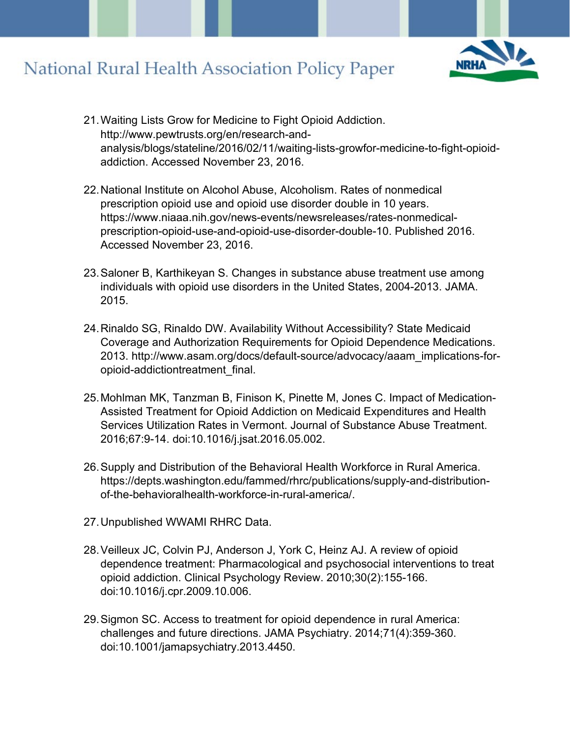

- 21.Waiting Lists Grow for Medicine to Fight Opioid Addiction. http://www.pewtrusts.org/en/research-andanalysis/blogs/stateline/2016/02/11/waiting-lists-growfor-medicine-to-fight-opioidaddiction. Accessed November 23, 2016.
- 22.National Institute on Alcohol Abuse, Alcoholism. Rates of nonmedical prescription opioid use and opioid use disorder double in 10 years. https://www.niaaa.nih.gov/news-events/newsreleases/rates-nonmedicalprescription-opioid-use-and-opioid-use-disorder-double-10. Published 2016. Accessed November 23, 2016.
- 23.Saloner B, Karthikeyan S. Changes in substance abuse treatment use among individuals with opioid use disorders in the United States, 2004-2013. JAMA. 2015.
- 24.Rinaldo SG, Rinaldo DW. Availability Without Accessibility? State Medicaid Coverage and Authorization Requirements for Opioid Dependence Medications. 2013. http://www.asam.org/docs/default-source/advocacy/aaam\_implications-foropioid-addictiontreatment\_final.
- 25.Mohlman MK, Tanzman B, Finison K, Pinette M, Jones C. Impact of Medication-Assisted Treatment for Opioid Addiction on Medicaid Expenditures and Health Services Utilization Rates in Vermont. Journal of Substance Abuse Treatment. 2016;67:9-14. doi:10.1016/j.jsat.2016.05.002.
- 26.Supply and Distribution of the Behavioral Health Workforce in Rural America. https://depts.washington.edu/fammed/rhrc/publications/supply-and-distributionof-the-behavioralhealth-workforce-in-rural-america/.
- 27.Unpublished WWAMI RHRC Data.
- 28.Veilleux JC, Colvin PJ, Anderson J, York C, Heinz AJ. A review of opioid dependence treatment: Pharmacological and psychosocial interventions to treat opioid addiction. Clinical Psychology Review. 2010;30(2):155-166. doi:10.1016/j.cpr.2009.10.006.
- 29.Sigmon SC. Access to treatment for opioid dependence in rural America: challenges and future directions. JAMA Psychiatry. 2014;71(4):359-360. doi:10.1001/jamapsychiatry.2013.4450.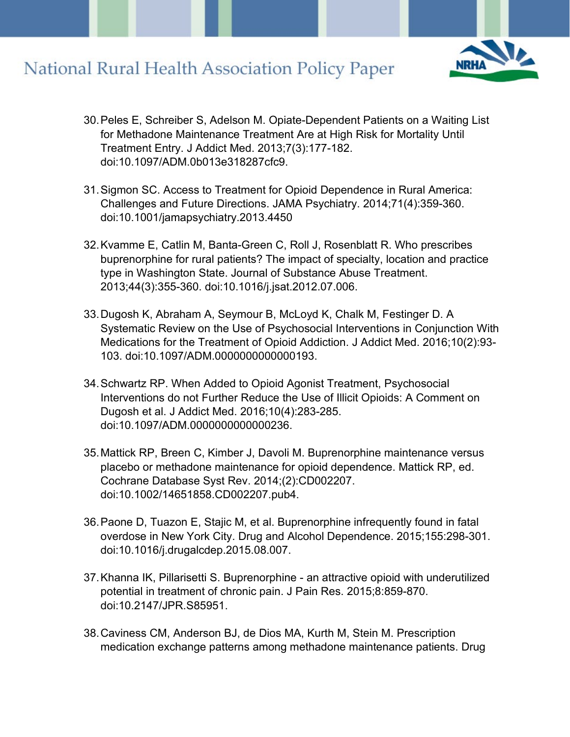

- 30.Peles E, Schreiber S, Adelson M. Opiate-Dependent Patients on a Waiting List for Methadone Maintenance Treatment Are at High Risk for Mortality Until Treatment Entry. J Addict Med. 2013;7(3):177-182. doi:10.1097/ADM.0b013e318287cfc9.
- 31.Sigmon SC. Access to Treatment for Opioid Dependence in Rural America: Challenges and Future Directions. JAMA Psychiatry. 2014;71(4):359-360. doi:10.1001/jamapsychiatry.2013.4450
- 32.Kvamme E, Catlin M, Banta-Green C, Roll J, Rosenblatt R. Who prescribes buprenorphine for rural patients? The impact of specialty, location and practice type in Washington State. Journal of Substance Abuse Treatment. 2013;44(3):355-360. doi:10.1016/j.jsat.2012.07.006.
- 33.Dugosh K, Abraham A, Seymour B, McLoyd K, Chalk M, Festinger D. A Systematic Review on the Use of Psychosocial Interventions in Conjunction With Medications for the Treatment of Opioid Addiction. J Addict Med. 2016;10(2):93- 103. doi:10.1097/ADM.0000000000000193.
- 34.Schwartz RP. When Added to Opioid Agonist Treatment, Psychosocial Interventions do not Further Reduce the Use of Illicit Opioids: A Comment on Dugosh et al. J Addict Med. 2016;10(4):283-285. doi:10.1097/ADM.0000000000000236.
- 35.Mattick RP, Breen C, Kimber J, Davoli M. Buprenorphine maintenance versus placebo or methadone maintenance for opioid dependence. Mattick RP, ed. Cochrane Database Syst Rev. 2014;(2):CD002207. doi:10.1002/14651858.CD002207.pub4.
- 36.Paone D, Tuazon E, Stajic M, et al. Buprenorphine infrequently found in fatal overdose in New York City. Drug and Alcohol Dependence. 2015;155:298-301. doi:10.1016/j.drugalcdep.2015.08.007.
- 37.Khanna IK, Pillarisetti S. Buprenorphine an attractive opioid with underutilized potential in treatment of chronic pain. J Pain Res. 2015;8:859-870. doi:10.2147/JPR.S85951.
- 38.Caviness CM, Anderson BJ, de Dios MA, Kurth M, Stein M. Prescription medication exchange patterns among methadone maintenance patients. Drug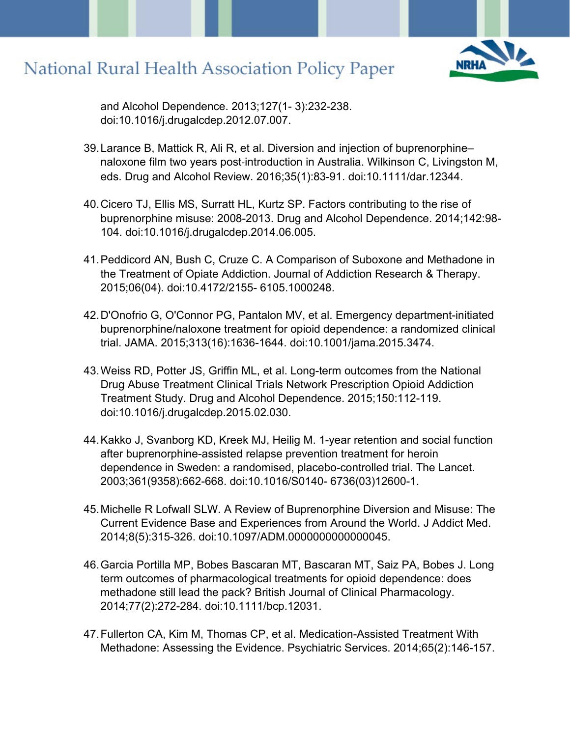

and Alcohol Dependence. 2013;127(1- 3):232-238. doi:10.1016/j.drugalcdep.2012.07.007.

- 39.Larance B, Mattick R, Ali R, et al. Diversion and injection of buprenorphine– naloxone film two years post‐introduction in Australia. Wilkinson C, Livingston M, eds. Drug and Alcohol Review. 2016;35(1):83-91. doi:10.1111/dar.12344.
- 40.Cicero TJ, Ellis MS, Surratt HL, Kurtz SP. Factors contributing to the rise of buprenorphine misuse: 2008-2013. Drug and Alcohol Dependence. 2014;142:98- 104. doi:10.1016/j.drugalcdep.2014.06.005.
- 41.Peddicord AN, Bush C, Cruze C. A Comparison of Suboxone and Methadone in the Treatment of Opiate Addiction. Journal of Addiction Research & Therapy. 2015;06(04). doi:10.4172/2155- 6105.1000248.
- 42.D'Onofrio G, O'Connor PG, Pantalon MV, et al. Emergency department-initiated buprenorphine/naloxone treatment for opioid dependence: a randomized clinical trial. JAMA. 2015;313(16):1636-1644. doi:10.1001/jama.2015.3474.
- 43.Weiss RD, Potter JS, Griffin ML, et al. Long-term outcomes from the National Drug Abuse Treatment Clinical Trials Network Prescription Opioid Addiction Treatment Study. Drug and Alcohol Dependence. 2015;150:112-119. doi:10.1016/j.drugalcdep.2015.02.030.
- 44.Kakko J, Svanborg KD, Kreek MJ, Heilig M. 1-year retention and social function after buprenorphine-assisted relapse prevention treatment for heroin dependence in Sweden: a randomised, placebo-controlled trial. The Lancet. 2003;361(9358):662-668. doi:10.1016/S0140- 6736(03)12600-1.
- 45.Michelle R Lofwall SLW. A Review of Buprenorphine Diversion and Misuse: The Current Evidence Base and Experiences from Around the World. J Addict Med. 2014;8(5):315-326. doi:10.1097/ADM.0000000000000045.
- 46.Garcia Portilla MP, Bobes Bascaran MT, Bascaran MT, Saiz PA, Bobes J. Long term outcomes of pharmacological treatments for opioid dependence: does methadone still lead the pack? British Journal of Clinical Pharmacology. 2014;77(2):272-284. doi:10.1111/bcp.12031.
- 47.Fullerton CA, Kim M, Thomas CP, et al. Medication-Assisted Treatment With Methadone: Assessing the Evidence. Psychiatric Services. 2014;65(2):146-157.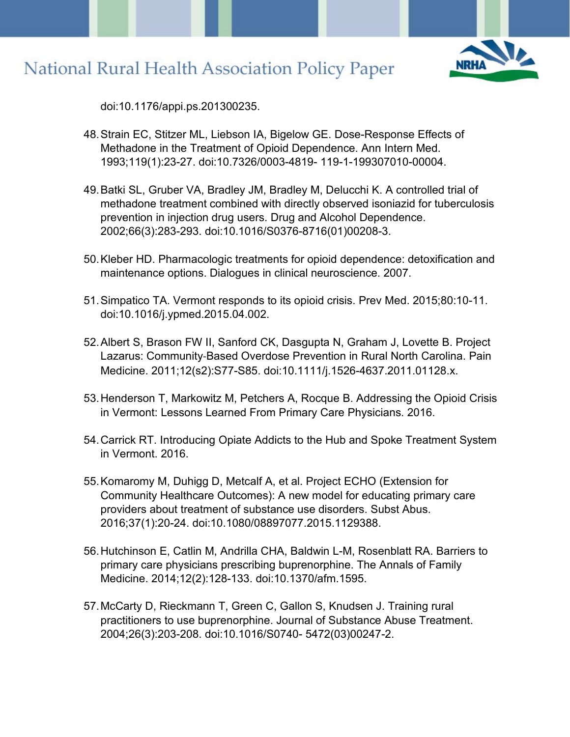

doi:10.1176/appi.ps.201300235.

- 48.Strain EC, Stitzer ML, Liebson IA, Bigelow GE. Dose-Response Effects of Methadone in the Treatment of Opioid Dependence. Ann Intern Med. 1993;119(1):23-27. doi:10.7326/0003-4819- 119-1-199307010-00004.
- 49.Batki SL, Gruber VA, Bradley JM, Bradley M, Delucchi K. A controlled trial of methadone treatment combined with directly observed isoniazid for tuberculosis prevention in injection drug users. Drug and Alcohol Dependence. 2002;66(3):283-293. doi:10.1016/S0376-8716(01)00208-3.
- 50.Kleber HD. Pharmacologic treatments for opioid dependence: detoxification and maintenance options. Dialogues in clinical neuroscience. 2007.
- 51.Simpatico TA. Vermont responds to its opioid crisis. Prev Med. 2015;80:10-11. doi:10.1016/j.ypmed.2015.04.002.
- 52.Albert S, Brason FW II, Sanford CK, Dasgupta N, Graham J, Lovette B. Project Lazarus: Community‐Based Overdose Prevention in Rural North Carolina. Pain Medicine. 2011;12(s2):S77-S85. doi:10.1111/j.1526-4637.2011.01128.x.
- 53.Henderson T, Markowitz M, Petchers A, Rocque B. Addressing the Opioid Crisis in Vermont: Lessons Learned From Primary Care Physicians. 2016.
- 54.Carrick RT. Introducing Opiate Addicts to the Hub and Spoke Treatment System in Vermont. 2016.
- 55.Komaromy M, Duhigg D, Metcalf A, et al. Project ECHO (Extension for Community Healthcare Outcomes): A new model for educating primary care providers about treatment of substance use disorders. Subst Abus. 2016;37(1):20-24. doi:10.1080/08897077.2015.1129388.
- 56.Hutchinson E, Catlin M, Andrilla CHA, Baldwin L-M, Rosenblatt RA. Barriers to primary care physicians prescribing buprenorphine. The Annals of Family Medicine. 2014;12(2):128-133. doi:10.1370/afm.1595.
- 57.McCarty D, Rieckmann T, Green C, Gallon S, Knudsen J. Training rural practitioners to use buprenorphine. Journal of Substance Abuse Treatment. 2004;26(3):203-208. doi:10.1016/S0740- 5472(03)00247-2.